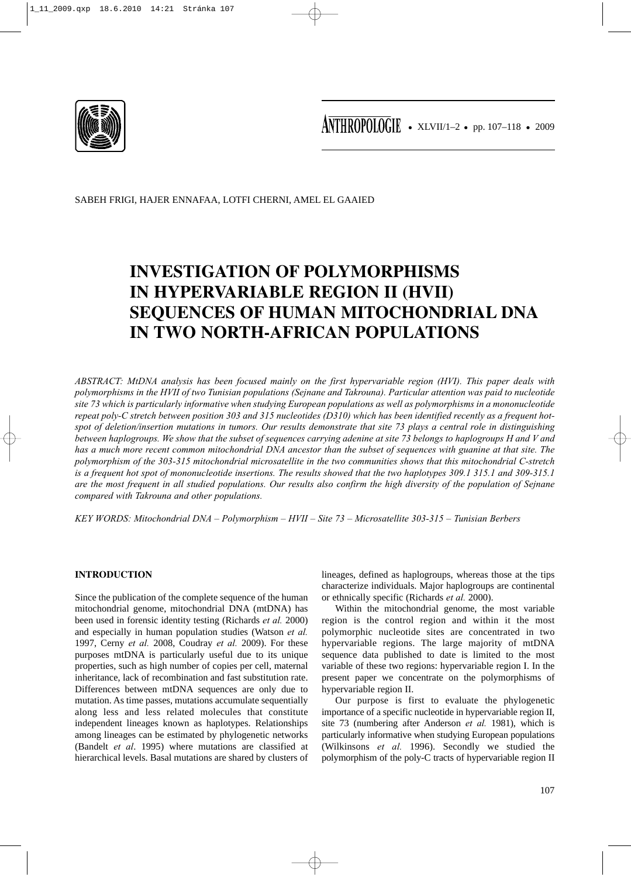

ANTHROPOLOGIE • XLVII/1-2 • pp. 107-118 • 2009

SABEH FRIGI, HAJER ENNAFAA, LOTFI CHERNI, AMEL EL GAAIED

# **INVESTIGATION OF POLYMORPHISMS IN HYPERVARIABLE REGION II (HVII) SEQUENCES OF HUMAN MITOCHONDRIAL DNA IN TWO NORTH-AFRICAN POPULATIONS**

*ABSTRACT: MtDNA analysis has been focused mainly on the first hypervariable region (HVI). This paper deals with polymorphisms in the HVII of two Tunisian populations (Sejnane and Takrouna). Particular attention was paid to nucleotide site 73 which is particularly informative when studying European populations as well as polymorphisms in a mononucleotide repeat poly-C stretch between position 303 and 315 nucleotides (D310) which has been identified recently as a frequent hotspot of deletion/insertion mutations in tumors. Our results demonstrate that site 73 plays a central role in distinguishing between haplogroups. We show that the subset of sequences carrying adenine at site 73 belongs to haplogroups H and V and has a much more recent common mitochondrial DNA ancestor than the subset of sequences with guanine at that site. The polymorphism of the 303-315 mitochondrial microsatellite in the two communities shows that this mitochondrial C-stretch is a frequent hot spot of mononucleotide insertions. The results showed that the two haplotypes 309.1 315.1 and 309-315.1 are the most frequent in all studied populations. Our results also confirm the high diversity of the population of Sejnane compared with Takrouna and other populations.*

*KEY WORDS: Mitochondrial DNA – Polymorphism – HVII – Site 73 – Microsatellite 303-315 – Tunisian Berbers*

# **INTRODUCTION**

Since the publication of the complete sequence of the human mitochondrial genome, mitochondrial DNA (mtDNA) has been used in forensic identity testing (Richards *et al.* 2000) and especially in human population studies (Watson *et al.* 1997, Cerny *et al.* 2008, Coudray *et al.* 2009). For these purposes mtDNA is particularly useful due to its unique properties, such as high number of copies per cell, maternal inheritance, lack of recombination and fast substitution rate. Differences between mtDNA sequences are only due to mutation. As time passes, mutations accumulate sequentially along less and less related molecules that constitute independent lineages known as haplotypes. Relationships among lineages can be estimated by phylogenetic networks (Bandelt *et al*. 1995) where mutations are classified at hierarchical levels. Basal mutations are shared by clusters of lineages, defined as haplogroups, whereas those at the tips characterize individuals. Major haplogroups are continental or ethnically specific (Richards *et al.* 2000).

Within the mitochondrial genome, the most variable region is the control region and within it the most polymorphic nucleotide sites are concentrated in two hypervariable regions. The large majority of mtDNA sequence data published to date is limited to the most variable of these two regions: hypervariable region I. In the present paper we concentrate on the polymorphisms of hypervariable region II.

Our purpose is first to evaluate the phylogenetic importance of a specific nucleotide in hypervariable region II, site 73 (numbering after Anderson *et al.* 1981), which is particularly informative when studying European populations (Wilkinsons *et al.* 1996). Secondly we studied the polymorphism of the poly-C tracts of hypervariable region II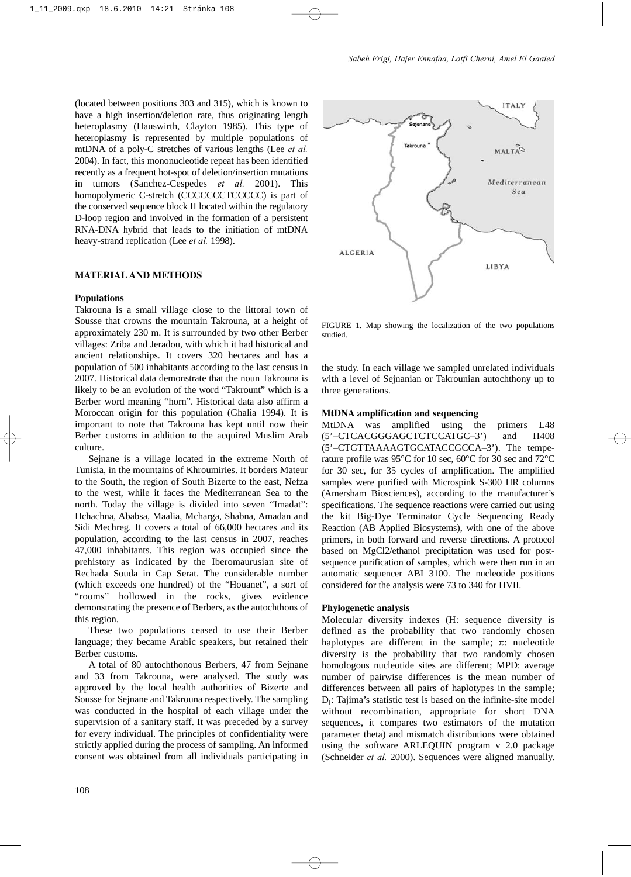(located between positions 303 and 315), which is known to have a high insertion/deletion rate, thus originating length heteroplasmy (Hauswirth, Clayton 1985). This type of heteroplasmy is represented by multiple populations of mtDNA of a poly-C stretches of various lengths (Lee *et al.* 2004). In fact, this mononucleotide repeat has been identified recently as a frequent hot-spot of deletion/insertion mutations in tumors (Sanchez-Cespedes *et al.* 2001). This homopolymeric C-stretch (CCCCCCCTCCCCC) is part of the conserved sequence block II located within the regulatory D-loop region and involved in the formation of a persistent RNA-DNA hybrid that leads to the initiation of mtDNA heavy-strand replication (Lee *et al.* 1998).

## **MATERIAL AND METHODS**

#### **Populations**

Takrouna is a small village close to the littoral town of Sousse that crowns the mountain Takrouna, at a height of approximately 230 m. It is surrounded by two other Berber villages: Zriba and Jeradou, with which it had historical and ancient relationships. It covers 320 hectares and has a population of 500 inhabitants according to the last census in 2007. Historical data demonstrate that the noun Takrouna is likely to be an evolution of the word "Takrount" which is a Berber word meaning "horn". Historical data also affirm a Moroccan origin for this population (Ghalia 1994). It is important to note that Takrouna has kept until now their Berber customs in addition to the acquired Muslim Arab culture.

Sejnane is a village located in the extreme North of Tunisia, in the mountains of Khroumiries. It borders Mateur to the South, the region of South Bizerte to the east, Nefza to the west, while it faces the Mediterranean Sea to the north. Today the village is divided into seven "Imadat": Hchachna, Ababsa, Maalia, Mcharga, Shabna, Amadan and Sidi Mechreg. It covers a total of 66,000 hectares and its population, according to the last census in 2007, reaches 47,000 inhabitants. This region was occupied since the prehistory as indicated by the Iberomaurusian site of Rechada Souda in Cap Serat. The considerable number (which exceeds one hundred) of the "Houanet", a sort of "rooms" hollowed in the rocks, gives evidence demonstrating the presence of Berbers, as the autochthons of this region.

These two populations ceased to use their Berber language; they became Arabic speakers, but retained their Berber customs.

A total of 80 autochthonous Berbers, 47 from Sejnane and 33 from Takrouna, were analysed. The study was approved by the local health authorities of Bizerte and Sousse for Sejnane and Takrouna respectively. The sampling was conducted in the hospital of each village under the supervision of a sanitary staff. It was preceded by a survey for every individual. The principles of confidentiality were strictly applied during the process of sampling. An informed consent was obtained from all individuals participating in



FIGURE 1. Map showing the localization of the two populations studied.

the study. In each village we sampled unrelated individuals with a level of Sejnanian or Takrounian autochthony up to three generations.

#### **MtDNA amplification and sequencing**

MtDNA was amplified using the primers L48 (5'–CTCACGGGAGCTCTCCATGC–3') and H408 (5'–CTGTTAAAAGTGCATACCGCCA–3'). The temperature profile was 95°C for 10 sec, 60°C for 30 sec and 72°C for 30 sec, for 35 cycles of amplification. The amplified samples were purified with Microspink S-300 HR columns (Amersham Biosciences), according to the manufacturer's specifications. The sequence reactions were carried out using the kit Big-Dye Terminator Cycle Sequencing Ready Reaction (AB Applied Biosystems), with one of the above primers, in both forward and reverse directions. A protocol based on MgCl2/ethanol precipitation was used for postsequence purification of samples, which were then run in an automatic sequencer ABI 3100. The nucleotide positions considered for the analysis were 73 to 340 for HVII.

#### **Phylogenetic analysis**

Molecular diversity indexes (H: sequence diversity is defined as the probability that two randomly chosen haplotypes are different in the sample;  $\pi$ : nucleotide diversity is the probability that two randomly chosen homologous nucleotide sites are different; MPD: average number of pairwise differences is the mean number of differences between all pairs of haplotypes in the sample;  $D<sub>I</sub>$ : Tajima's statistic test is based on the infinite-site model without recombination, appropriate for short DNA sequences, it compares two estimators of the mutation parameter theta) and mismatch distributions were obtained using the software ARLEQUIN program v 2.0 package (Schneider *et al.* 2000). Sequences were aligned manually.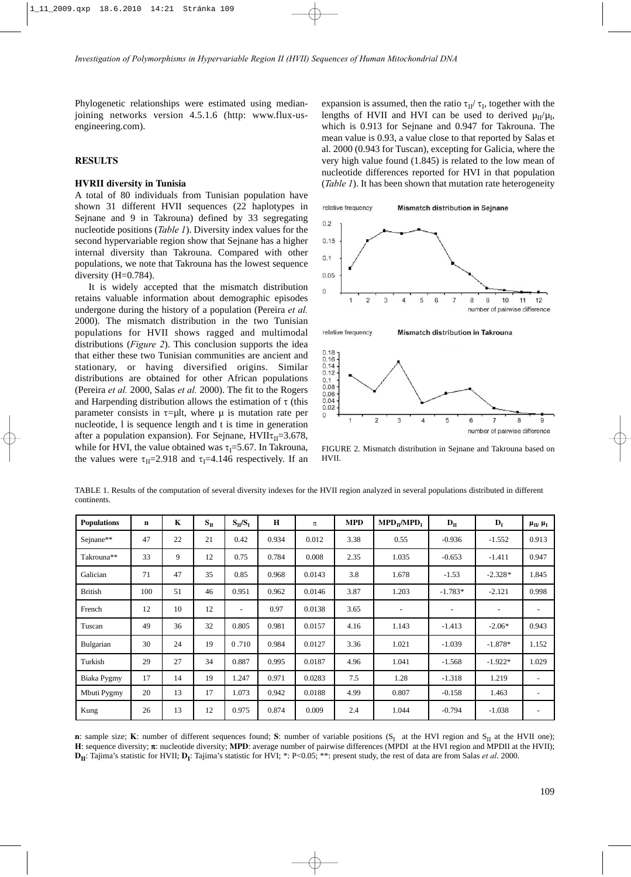Phylogenetic relationships were estimated using medianjoining networks version 4.5.1.6 (http: www.flux-usengineering.com).

## **RESULTS**

#### **HVRII diversity in Tunisia**

A total of 80 individuals from Tunisian population have shown 31 different HVII sequences (22 haplotypes in Sejnane and 9 in Takrouna) defined by 33 segregating nucleotide positions (*Table 1*). Diversity index values for the second hypervariable region show that Sejnane has a higher internal diversity than Takrouna. Compared with other populations, we note that Takrouna has the lowest sequence diversity (H=0.784).

It is widely accepted that the mismatch distribution retains valuable information about demographic episodes undergone during the history of a population (Pereira *et al.* 2000). The mismatch distribution in the two Tunisian populations for HVII shows ragged and multimodal distributions (*Figure 2*). This conclusion supports the idea that either these two Tunisian communities are ancient and stationary, or having diversified origins. Similar distributions are obtained for other African populations (Pereira *et al.* 2000, Salas *et al.* 2000). The fit to the Rogers and Harpending distribution allows the estimation of  $\tau$  (this parameter consists in  $\tau = \mu$ lt, where  $\mu$  is mutation rate per nucleotide, l is sequence length and t is time in generation after a population expansion). For Sejnane,  $HVII\tau_{II}=3.678$ , while for HVI, the value obtained was  $\tau_1 = 5.67$ . In Takrouna, the values were  $\tau_{II}$ =2.918 and  $\tau_{I}$ =4.146 respectively. If an

expansion is assumed, then the ratio  $\tau_{II}/\tau_I$ , together with the lengths of HVII and HVI can be used to derived  $\mu_{II}/\mu_I$ , which is 0.913 for Sejnane and 0.947 for Takrouna. The mean value is 0.93, a value close to that reported by Salas et al. 2000 (0.943 for Tuscan), excepting for Galicia, where the very high value found (1.845) is related to the low mean of nucleotide differences reported for HVI in that population (*Table 1*). It has been shown that mutation rate heterogeneity



FIGURE 2. Mismatch distribution in Sejnane and Takrouna based on HVII.

| TABLE 1. Results of the computation of several diversity indexes for the HVII region analyzed in several populations distributed in different |  |  |
|-----------------------------------------------------------------------------------------------------------------------------------------------|--|--|
| continents.                                                                                                                                   |  |  |

| <b>Populations</b> | $\mathbf n$ | K  | $S_{II}$ | $S_{II}/S_{I}$ | $\mathbf H$ | $\pi$  | <b>MPD</b> | $\text{MPD}_{\text{II}}/\text{MPD}_{\text{I}}$ | $D_{II}$  | $D_I$     | $\mu_{\rm II}$ , $\mu_{\rm I}$ |
|--------------------|-------------|----|----------|----------------|-------------|--------|------------|------------------------------------------------|-----------|-----------|--------------------------------|
| Sejnane**          | 47          | 22 | 21       | 0.42           | 0.934       | 0.012  | 3.38       | 0.55                                           | $-0.936$  | $-1.552$  | 0.913                          |
| Takrouna**         | 33          | 9  | 12       | 0.75           | 0.784       | 0.008  | 2.35       | 1.035                                          | $-0.653$  | $-1.411$  | 0.947                          |
| Galician           | 71          | 47 | 35       | 0.85           | 0.968       | 0.0143 | 3.8        | 1.678                                          | $-1.53$   | $-2.328*$ | 1.845                          |
| <b>British</b>     | 100         | 51 | 46       | 0.951          | 0.962       | 0.0146 | 3.87       | 1.203                                          | $-1.783*$ | $-2.121$  | 0.998                          |
| French             | 12          | 10 | 12       |                | 0.97        | 0.0138 | 3.65       | -                                              | ۰         |           | $\overline{\phantom{a}}$       |
| Tuscan             | 49          | 36 | 32       | 0.805          | 0.981       | 0.0157 | 4.16       | 1.143                                          | $-1.413$  | $-2.06*$  | 0.943                          |
| Bulgarian          | 30          | 24 | 19       | 0.710          | 0.984       | 0.0127 | 3.36       | 1.021                                          | $-1.039$  | $-1.878*$ | 1.152                          |
| Turkish            | 29          | 27 | 34       | 0.887          | 0.995       | 0.0187 | 4.96       | 1.041                                          | $-1.568$  | $-1.922*$ | 1.029                          |
| Biaka Pygmy        | 17          | 14 | 19       | 1.247          | 0.971       | 0.0283 | 7.5        | 1.28                                           | $-1.318$  | 1.219     | $\overline{\phantom{a}}$       |
| Mbuti Pygmy        | 20          | 13 | 17       | 1.073          | 0.942       | 0.0188 | 4.99       | 0.807                                          | $-0.158$  | 1.463     |                                |
| Kung               | 26          | 13 | 12       | 0.975          | 0.874       | 0.009  | 2.4        | 1.044                                          | $-0.794$  | $-1.038$  | $\qquad \qquad \blacksquare$   |

**n**: sample size; **K**: number of different sequences found; **S**: number of variable positions  $(S_I \t{at the HVI region and } S_{II} \t{at the HVI one)}$ ; **H**: sequence diversity; π: nucleotide diversity; **MPD**: average number of pairwise differences (MPDI at the HVI region and MPDII at the HVII); **D<sub>II</sub>**: Tajima's statistic for HVII; **D<sub>I</sub>**: Tajima's statistic for HVI; \*: P<0.05; \*\*: present study, the rest of data are from Salas *et al.* 2000.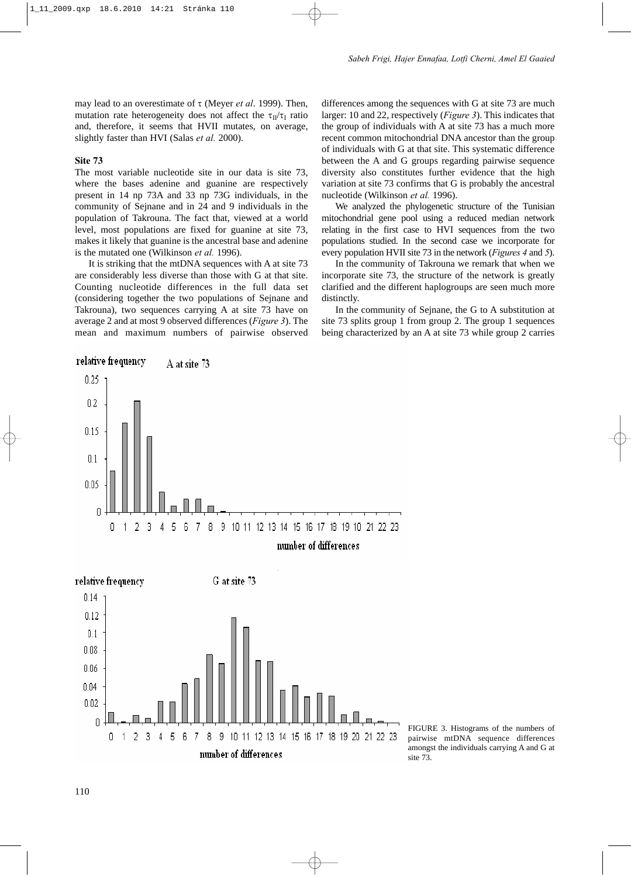may lead to an overestimate of τ (Meyer *et al*. 1999). Then, mutation rate heterogeneity does not affect the  $\tau_{II}/\tau_I$  ratio and, therefore, it seems that HVII mutates, on average, slightly faster than HVI (Salas *et al.* 2000).

## **Site 73**

The most variable nucleotide site in our data is site 73, where the bases adenine and guanine are respectively present in 14 np 73A and 33 np 73G individuals, in the community of Sejnane and in 24 and 9 individuals in the population of Takrouna. The fact that, viewed at a world level, most populations are fixed for guanine at site 73, makes it likely that guanine is the ancestral base and adenine is the mutated one (Wilkinson *et al.* 1996).

It is striking that the mtDNA sequences with A at site 73 are considerably less diverse than those with G at that site. Counting nucleotide differences in the full data set (considering together the two populations of Sejnane and Takrouna), two sequences carrying A at site 73 have on average 2 and at most 9 observed differences (*Figure 3*). The mean and maximum numbers of pairwise observed differences among the sequences with G at site 73 are much larger: 10 and 22, respectively (*Figure 3*). This indicates that the group of individuals with A at site 73 has a much more recent common mitochondrial DNA ancestor than the group of individuals with G at that site. This systematic difference between the A and G groups regarding pairwise sequence diversity also constitutes further evidence that the high variation at site 73 confirms that G is probably the ancestral nucleotide (Wilkinson *et al.* 1996).

We analyzed the phylogenetic structure of the Tunisian mitochondrial gene pool using a reduced median network relating in the first case to HVI sequences from the two populations studied. In the second case we incorporate for every population HVII site 73 in the network (*Figures 4* and *5*).

In the community of Takrouna we remark that when we incorporate site 73, the structure of the network is greatly clarified and the different haplogroups are seen much more distinctly.

In the community of Sejnane, the G to A substitution at site 73 splits group 1 from group 2. The group 1 sequences being characterized by an A at site 73 while group 2 carries



FIGURE 3. Histograms of the numbers of pairwise mtDNA sequence differences amongst the individuals carrying A and G at site 73.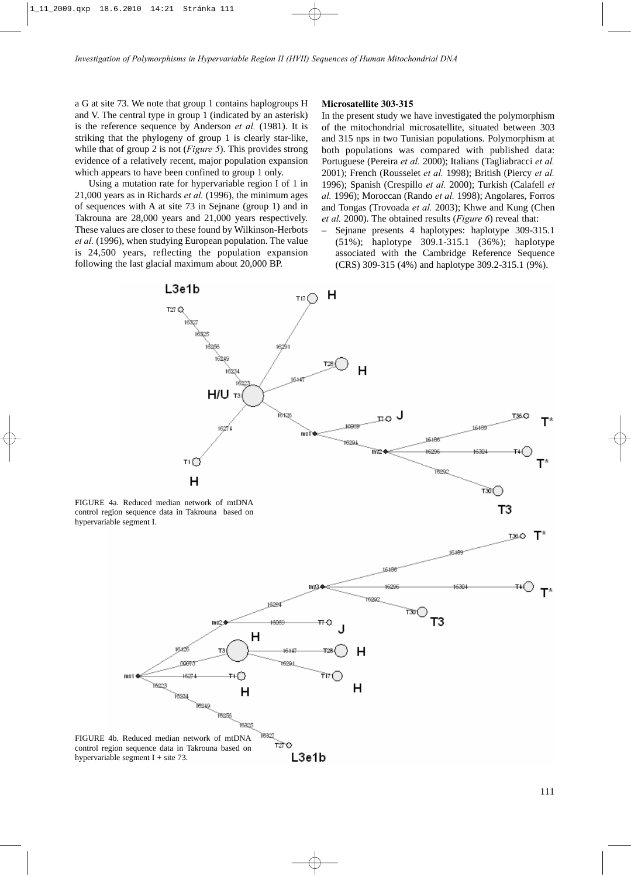a G at site 73. We note that group 1 contains haplogroups H and V. The central type in group 1 (indicated by an asterisk) is the reference sequence by Anderson *et al.* (1981). It is striking that the phylogeny of group 1 is clearly star-like, while that of group 2 is not (*Figure 5*). This provides strong evidence of a relatively recent, major population expansion which appears to have been confined to group 1 only.

Using a mutation rate for hypervariable region I of 1 in 21,000 years as in Richards *et al.* (1996), the minimum ages of sequences with A at site 73 in Sejnane (group 1) and in Takrouna are 28,000 years and 21,000 years respectively. These values are closer to these found by Wilkinson-Herbots *et al.* (1996), when studying European population. The value is 24,500 years, reflecting the population expansion following the last glacial maximum about 20,000 BP.

### **Microsatellite 303-315**

In the present study we have investigated the polymorphism of the mitochondrial microsatellite, situated between 303 and 315 nps in two Tunisian populations. Polymorphism at both populations was compared with published data: Portuguese (Pereira *et al.* 2000); Italians (Tagliabracci *et al.* 2001); French (Rousselet *et al.* 1998); British (Piercy *et al.* 1996); Spanish (Crespillo *et al.* 2000); Turkish (Calafell *et al.* 1996); Moroccan (Rando *et al.* 1998); Angolares, Forros and Tongas (Trovoada *et al.* 2003); Khwe and Kung (Chen *et al.* 2000). The obtained results (*Figure 6*) reveal that:

– Sejnane presents 4 haplotypes: haplotype 309-315.1 (51%); haplotype 309.1-315.1 (36%); haplotype associated with the Cambridge Reference Sequence (CRS) 309-315 (4%) and haplotype 309.2-315.1 (9%).





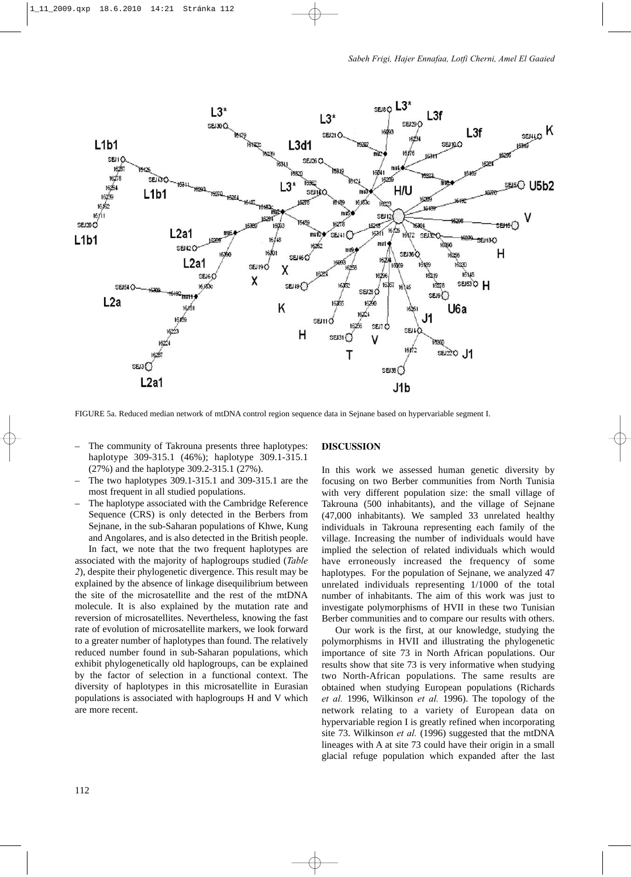

FIGURE 5a. Reduced median network of mtDNA control region sequence data in Sejnane based on hypervariable segment I.

- The community of Takrouna presents three haplotypes: haplotype 309-315.1 (46%); haplotype 309.1-315.1 (27%) and the haplotype 309.2-315.1 (27%).
- The two haplotypes 309.1-315.1 and 309-315.1 are the most frequent in all studied populations.
- The haplotype associated with the Cambridge Reference Sequence (CRS) is only detected in the Berbers from Sejnane, in the sub-Saharan populations of Khwe, Kung and Angolares, and is also detected in the British people.

In fact, we note that the two frequent haplotypes are associated with the majority of haplogroups studied (*Table 2*), despite their phylogenetic divergence. This result may be explained by the absence of linkage disequilibrium between the site of the microsatellite and the rest of the mtDNA molecule. It is also explained by the mutation rate and reversion of microsatellites. Nevertheless, knowing the fast rate of evolution of microsatellite markers, we look forward to a greater number of haplotypes than found. The relatively reduced number found in sub-Saharan populations, which exhibit phylogenetically old haplogroups, can be explained by the factor of selection in a functional context. The diversity of haplotypes in this microsatellite in Eurasian populations is associated with haplogroups H and V which are more recent.

#### **DISCUSSION**

In this work we assessed human genetic diversity by focusing on two Berber communities from North Tunisia with very different population size: the small village of Takrouna (500 inhabitants), and the village of Sejnane (47,000 inhabitants). We sampled 33 unrelated healthy individuals in Takrouna representing each family of the village. Increasing the number of individuals would have implied the selection of related individuals which would have erroneously increased the frequency of some haplotypes. For the population of Sejnane, we analyzed 47 unrelated individuals representing 1/1000 of the total number of inhabitants. The aim of this work was just to investigate polymorphisms of HVII in these two Tunisian Berber communities and to compare our results with others.

Our work is the first, at our knowledge, studying the polymorphisms in HVII and illustrating the phylogenetic importance of site 73 in North African populations. Our results show that site 73 is very informative when studying two North-African populations. The same results are obtained when studying European populations (Richards *et al.* 1996, Wilkinson *et al.* 1996). The topology of the network relating to a variety of European data on hypervariable region I is greatly refined when incorporating site 73. Wilkinson *et al.* (1996) suggested that the mtDNA lineages with A at site 73 could have their origin in a small glacial refuge population which expanded after the last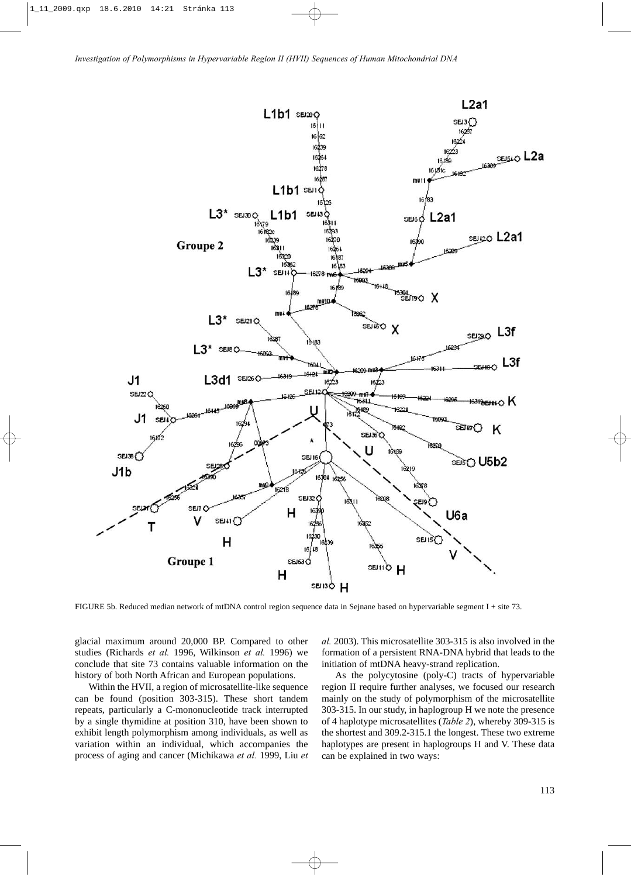

FIGURE 5b. Reduced median network of mtDNA control region sequence data in Sejnane based on hypervariable segment I + site 73.

glacial maximum around 20,000 BP. Compared to other studies (Richards *et al.* 1996, Wilkinson *et al.* 1996) we conclude that site 73 contains valuable information on the history of both North African and European populations.

Within the HVII, a region of microsatellite-like sequence can be found (position 303-315). These short tandem repeats, particularly a C-mononucleotide track interrupted by a single thymidine at position 310, have been shown to exhibit length polymorphism among individuals, as well as variation within an individual, which accompanies the process of aging and cancer (Michikawa *et al.* 1999, Liu *et* *al.* 2003). This microsatellite 303-315 is also involved in the formation of a persistent RNA-DNA hybrid that leads to the initiation of mtDNA heavy-strand replication.

As the polycytosine (poly-C) tracts of hypervariable region II require further analyses, we focused our research mainly on the study of polymorphism of the microsatellite 303-315. In our study, in haplogroup H we note the presence of 4 haplotype microsatellites (*Table 2*), whereby 309-315 is the shortest and 309.2-315.1 the longest. These two extreme haplotypes are present in haplogroups H and V. These data can be explained in two ways: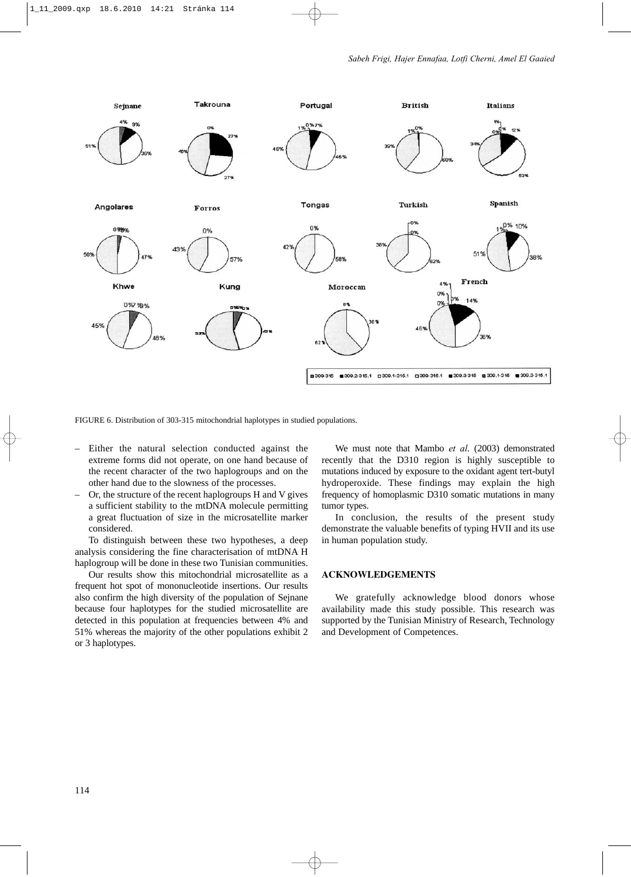

FIGURE 6. Distribution of 303-315 mitochondrial haplotypes in studied populations.

- Either the natural selection conducted against the extreme forms did not operate, on one hand because of the recent character of the two haplogroups and on the other hand due to the slowness of the processes.
- Or, the structure of the recent haplogroups H and V gives a sufficient stability to the mtDNA molecule permitting a great fluctuation of size in the microsatellite marker considered.

To distinguish between these two hypotheses, a deep analysis considering the fine characterisation of mtDNA H haplogroup will be done in these two Tunisian communities.

Our results show this mitochondrial microsatellite as a frequent hot spot of mononucleotide insertions. Our results also confirm the high diversity of the population of Sejnane because four haplotypes for the studied microsatellite are detected in this population at frequencies between 4% and 51% whereas the majority of the other populations exhibit 2 or 3 haplotypes.

We must note that Mambo *et al*. (2003) demonstrated recently that the D310 region is highly susceptible to mutations induced by exposure to the oxidant agent tert-butyl hydroperoxide. These findings may explain the high frequency of homoplasmic D310 somatic mutations in many tumor types.

In conclusion, the results of the present study demonstrate the valuable benefits of typing HVII and its use in human population study.

# **ACKNOWLEDGEMENTS**

We gratefully acknowledge blood donors whose availability made this study possible. This research was supported by the Tunisian Ministry of Research, Technology and Development of Competences.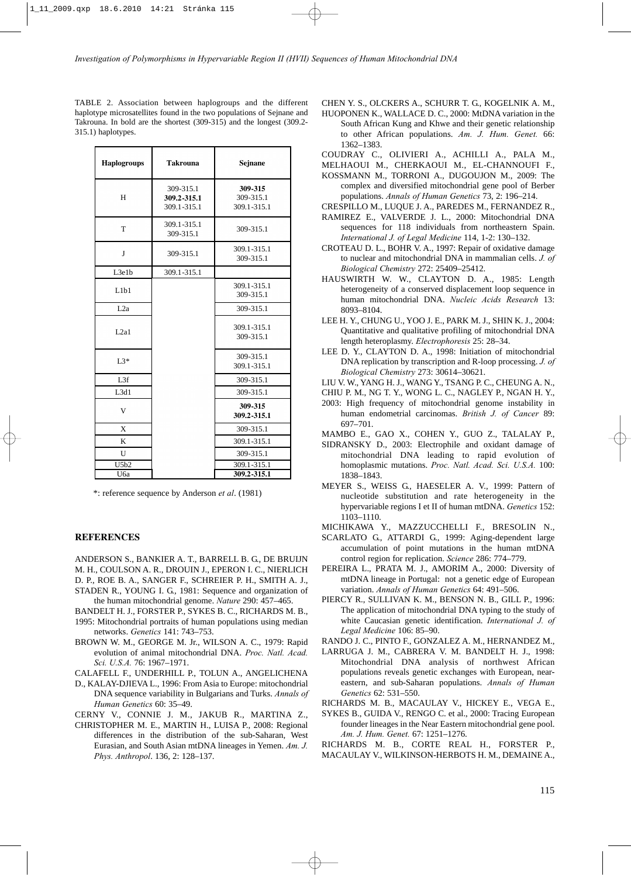TABLE 2. Association between haplogroups and the different haplotype microsatellites found in the two populations of Sejnane and Takrouna. In bold are the shortest (309-315) and the longest (309.2- 315.1) haplotypes.

| <b>Takrouna</b>                         | Sejnane                             |
|-----------------------------------------|-------------------------------------|
| 309-315.1<br>309.2-315.1<br>309.1-315.1 | 309-315<br>309-315.1<br>309.1-315.1 |
| 309.1-315.1<br>309-315.1                | 309-315.1                           |
| 309-315.1                               | 309.1-315.1<br>309-315.1            |
| 309.1-315.1                             |                                     |
|                                         | 309.1-315.1<br>309-315.1            |
|                                         | 309-315.1                           |
|                                         | 309.1-315.1<br>309-315.1            |
|                                         | 309-315.1<br>309.1-315.1            |
|                                         | 309-315.1                           |
|                                         | 309-315.1                           |
|                                         | 309-315<br>309.2-315.1              |
|                                         | 309-315.1                           |
|                                         | 309.1-315.1                         |
|                                         | 309-315.1                           |
|                                         | 309.1-315.1<br>309.2-315.1          |
|                                         |                                     |

\*: reference sequence by Anderson *et al*. (1981)

#### **REFERENCES**

ANDERSON S., BANKIER A. T., BARRELL B. G., DE BRUIJN M. H., COULSON A. R., DROUIN J., EPERON I. C., NIERLICH D. P., ROE B. A., SANGER F., SCHREIER P. H., SMITH A. J.,

STADEN R., YOUNG I. G., 1981: Sequence and organization of

the human mitochondrial genome. *Nature* 290: 457–465.

- BANDELT H. J., FORSTER P., SYKES B. C., RICHARDS M. B., 1995: Mitochondrial portraits of human populations using median networks. *Genetics* 141: 743–753.
- BROWN W. M., GEORGE M. Jr., WILSON A. C., 1979: Rapid evolution of animal mitochondrial DNA. *Proc. Natl. Acad. Sci. U.S.A.* 76: 1967–1971.

CALAFELL F., UNDERHILL P., TOLUN A., ANGELICHENA

D., KALAY-DJIEVA L., 1996: From Asia to Europe: mitochondrial DNA sequence variability in Bulgarians and Turks. *Annals of Human Genetics* 60: 35–49.

CERNY V., CONNIE J. M., JAKUB R., MARTINA Z.,

CHRISTOPHER M. E., MARTIN H., LUISA P., 2008: Regional differences in the distribution of the sub-Saharan, West Eurasian, and South Asian mtDNA lineages in Yemen. *Am. J. Phys. Anthropol*. 136, 2: 128–137.

CHEN Y. S., OLCKERS A., SCHURR T. G., KOGELNIK A. M.,

HUOPONEN K., WALLACE D. C., 2000: MtDNA variation in the South African Kung and Khwe and their genetic relationship to other African populations. *Am. J. Hum. Genet.* 66: 1362–1383.

COUDRAY C., OLIVIERI A., ACHILLI A., PALA M.,

- MELHAOUI M., CHERKAOUI M., EL-CHANNOUFI F.,
- KOSSMANN M., TORRONI A., DUGOUJON M., 2009: The complex and diversified mitochondrial gene pool of Berber populations. *Annals of Human Genetics* 73, 2: 196–214.
- CRESPILLO M., LUQUE J. A., PAREDES M., FERNANDEZ R.,
- RAMIREZ E., VALVERDE J. L., 2000: Mitochondrial DNA sequences for 118 individuals from northeastern Spain. *International J. of Legal Medicine* 114, 1-2: 130–132.
- CROTEAU D. L., BOHR V. A., 1997: Repair of oxidative damage to nuclear and mitochondrial DNA in mammalian cells. *J. of Biological Chemistry* 272: 25409–25412.
- HAUSWIRTH W. W., CLAYTON D. A., 1985: Length heterogeneity of a conserved displacement loop sequence in human mitochondrial DNA. *Nucleic Acids Research* 13: 8093–8104.
- LEE H. Y., CHUNG U., YOO J. E., PARK M. J., SHIN K. J., 2004: Quantitative and qualitative profiling of mitochondrial DNA length heteroplasmy. *Electrophoresis* 25: 28–34.
- LEE D. Y., CLAYTON D. A., 1998: Initiation of mitochondrial DNA replication by transcription and R-loop processing. *J. of Biological Chemistry* 273: 30614–30621.
- LIU V. W., YANG H. J., WANG Y., TSANG P. C., CHEUNG A. N.,
- CHIU P. M., NG T. Y., WONG L. C., NAGLEY P., NGAN H. Y.,
- 2003: High frequency of mitochondrial genome instability in human endometrial carcinomas. *British J. of Cancer* 89: 697–701.

MAMBO E., GAO X., COHEN Y., GUO Z., TALALAY P.,

- SIDRANSKY D., 2003: Electrophile and oxidant damage of mitochondrial DNA leading to rapid evolution of homoplasmic mutations. *Proc. Natl. Acad. Sci. U.S.A.* 100: 1838–1843.
- MEYER S., WEISS G., HAESELER A. V., 1999: Pattern of nucleotide substitution and rate heterogeneity in the hypervariable regions I et II of human mtDNA. *Genetics* 152: 1103–1110.
- MICHIKAWA Y., MAZZUCCHELLI F., BRESOLIN N.,
- SCARLATO G., ATTARDI G., 1999: Aging-dependent large accumulation of point mutations in the human mtDNA control region for replication. *Science* 286: 774–779.
- PEREIRA L., PRATA M. J., AMORIM A., 2000: Diversity of mtDNA lineage in Portugal: not a genetic edge of European variation. *Annals of Human Genetics* 64: 491–506.
- PIERCY R., SULLIVAN K. M., BENSON N. B., GILL P., 1996: The application of mitochondrial DNA typing to the study of white Caucasian genetic identification. *International J. of Legal Medicine* 106: 85–90.
- RANDO J. C., PINTO F., GONZALEZ A. M., HERNANDEZ M.,
- LARRUGA J. M., CABRERA V. M. BANDELT H. J., 1998: Mitochondrial DNA analysis of northwest African populations reveals genetic exchanges with European, neareastern, and sub-Saharan populations. *Annals of Human Genetics* 62: 531–550.
- RICHARDS M. B., MACAULAY V., HICKEY E., VEGA E.,
- SYKES B., GUIDA V., RENGO C. et al., 2000: Tracing European founder lineages in the Near Eastern mitochondrial gene pool. *Am. J. Hum. Genet.* 67: 1251–1276.

RICHARDS M. B., CORTE REAL H., FORSTER P.,

MACAULAY V., WILKINSON-HERBOTS H. M., DEMAINE A.,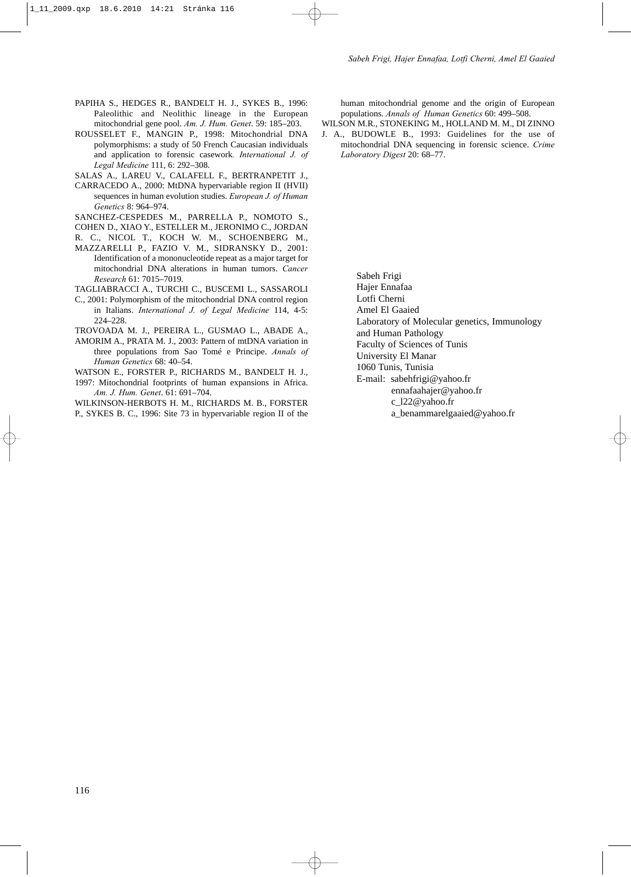- PAPIHA S., HEDGES R., BANDELT H. J., SYKES B., 1996: Paleolithic and Neolithic lineage in the European mitochondrial gene pool. *Am. J. Hum. Genet*. 59: 185–203.
- ROUSSELET F., MANGIN P., 1998: Mitochondrial DNA polymorphisms: a study of 50 French Caucasian individuals and application to forensic casework*. International J. of Legal Medicine* 111, 6: 292–308.
- SALAS A., LAREU V., CALAFELL F., BERTRANPETIT J.,
- CARRACEDO A., 2000: MtDNA hypervariable region II (HVII) sequences in human evolution studies. *European J. of Human Genetics* 8: 964–974.
- SANCHEZ-CESPEDES M., PARRELLA P., NOMOTO S.,
- COHEN D., XIAO Y., ESTELLER M., JERONIMO C., JORDAN
- R. C., NICOL T., KOCH W. M., SCHOENBERG M.,
- MAZZARELLI P., FAZIO V. M., SIDRANSKY D., 2001: Identification of a mononucleotide repeat as a major target for mitochondrial DNA alterations in human tumors. *Cancer Research* 61: 7015–7019.
- TAGLIABRACCI A., TURCHI C., BUSCEMI L., SASSAROLI
- C., 2001: Polymorphism of the mitochondrial DNA control region in Italians. *International J. of Legal Medicine* 114, 4-5: 224–228.
- TROVOADA M. J., PEREIRA L., GUSMAO L., ABADE A.,
- AMORIM A., PRATA M. J., 2003: Pattern of mtDNA variation in three populations from Sao Tomé e Principe. *Annals of Human Genetics* 68: 40–54.
- WATSON E., FORSTER P., RICHARDS M., BANDELT H. J., 1997: Mitochondrial footprints of human expansions in Africa. *Am. J. Hum. Genet*. 61: 691–704.

WILKINSON-HERBOTS H. M., RICHARDS M. B., FORSTER P., SYKES B. C., 1996: Site 73 in hypervariable region II of the human mitochondrial genome and the origin of European populations. *Annals of Human Genetics* 60: 499–508.

WILSON M.R., STONEKING M., HOLLAND M. M., DI ZINNO J. A., BUDOWLE B., 1993: Guidelines for the use of mitochondrial DNA sequencing in forensic science. *Crime*

*Laboratory Digest* 20: 68–77.

Sabeh Frigi Hajer Ennafaa Lotfi Cherni Amel El Gaaied Laboratory of Molecular genetics, Immunology and Human Pathology Faculty of Sciences of Tunis University El Manar 1060 Tunis, Tunisia E-mail: sabehfrigi@yahoo.fr ennafaahajer@yahoo.fr c\_l22@yahoo.fr

a\_benammarelgaaied@yahoo.fr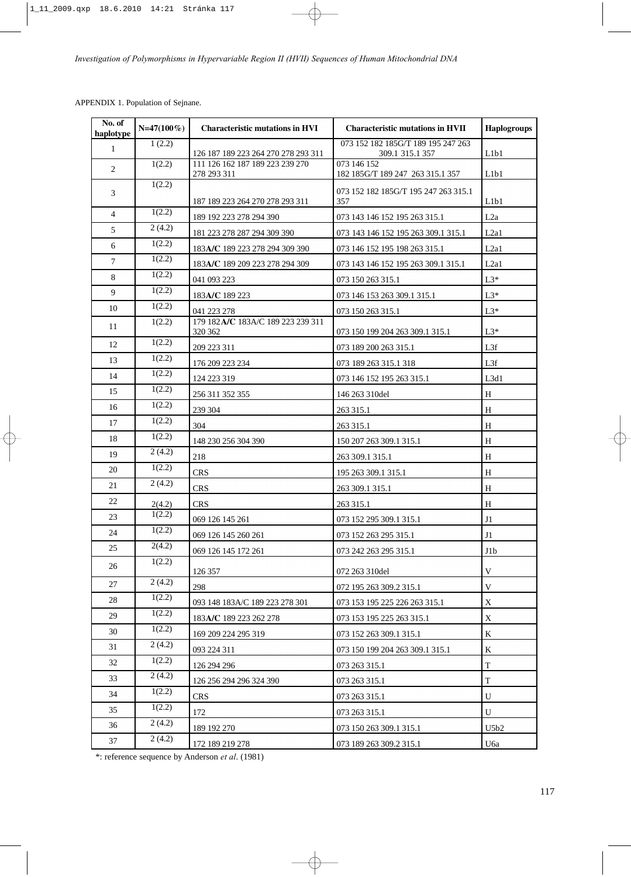| No. of<br>haplotype | $N=47(100\%)$ | <b>Characteristic mutations in HVI</b>       | <b>Characteristic mutations in HVII</b>                  | <b>Haplogroups</b> |
|---------------------|---------------|----------------------------------------------|----------------------------------------------------------|--------------------|
| $\mathbf{1}$        | 1(2.2)        | 126 187 189 223 264 270 278 293 311          | 073 152 182 185G/T 189 195 247 263<br>309.1 315.1 357    | L1b1               |
| 2                   | 1(2.2)        | 111 126 162 187 189 223 239 270              | 073 146 152                                              |                    |
|                     | 1(2.2)        | 278 293 311                                  | 182 185G/T 189 247 263 315.1 357                         | L1b1               |
| 3                   |               | 187 189 223 264 270 278 293 311              | 073 152 182 185G/T 195 247 263 315.1<br>357              | L1b1               |
| $\overline{4}$      | 1(2.2)        | 189 192 223 278 294 390                      | 073 143 146 152 195 263 315.1                            | L2a                |
| 5                   | 2(4.2)        | 181 223 278 287 294 309 390                  | 073 143 146 152 195 263 309.1 315.1                      | L2a1               |
| 6                   | 1(2.2)        | 183A/C 189 223 278 294 309 390               | 073 146 152 195 198 263 315.1                            | L2a1               |
| $\tau$              | 1(2.2)        | 183A/C 189 209 223 278 294 309               | 073 143 146 152 195 263 309.1 315.1                      | L2a1               |
| 8                   | 1(2.2)        | 041 093 223                                  | 073 150 263 315.1                                        | $L3*$              |
| 9                   | 1(2.2)        | 183A/C 189 223                               | 073 146 153 263 309.1 315.1                              | $L3*$              |
| 10                  | 1(2.2)        | 041 223 278                                  | 073 150 263 315.1                                        | $L3*$              |
| 11                  | 1(2.2)        | 179 182A/C 183A/C 189 223 239 311<br>320 362 | 073 150 199 204 263 309.1 315.1                          | $L3*$              |
| 12                  | 1(2.2)        | 209 223 311                                  | 073 189 200 263 315.1                                    | L3f                |
| 13                  | 1(2.2)        | 176 209 223 234                              | 073 189 263 315.1 318                                    | L3f                |
| 14                  | 1(2.2)        | 124 223 319                                  | 073 146 152 195 263 315.1                                | L3d1               |
| 15                  | 1(2.2)        | 256 311 352 355                              | 146 263 310del                                           | H                  |
| 16                  | 1(2.2)        | 239 304                                      | 263 315.1                                                | H                  |
| 17                  | 1(2.2)        | 304                                          | 263 315.1                                                | H                  |
| 18                  | 1(2.2)        | 148 230 256 304 390                          | 150 207 263 309.1 315.1                                  | H                  |
| 19                  | 2(4.2)        | 218                                          | 263 309.1 315.1                                          | H                  |
| 20                  | 1(2.2)        | <b>CRS</b>                                   | 195 263 309.1 315.1                                      | H                  |
| 21                  | 2(4.2)        | <b>CRS</b>                                   | 263 309.1 315.1                                          | H                  |
| 22                  | 2(4.2)        | <b>CRS</b>                                   | 263 315.1                                                | H                  |
| 23                  | 1(2.2)        | 069 126 145 261                              | 073 152 295 309.1 315.1                                  | J1                 |
| 24                  | 1(2.2)        | 069 126 145 260 261                          | 073 152 263 295 315.1                                    | J1                 |
| 25                  | 2(4.2)        | 069 126 145 172 261                          | 073 242 263 295 315.1                                    | J1b                |
| 26                  | 1(2.2)        |                                              |                                                          |                    |
| 27                  | 2(4.2)        | 126 357                                      | 072 263 310del                                           | V                  |
| 28                  | 1(2.2)        | 298<br>093 148 183A/C 189 223 278 301        | 072 195 263 309.2 315.1<br>073 153 195 225 226 263 315.1 | V<br>X             |
| 29                  | 1(2.2)        | 183A/C 189 223 262 278                       | 073 153 195 225 263 315.1                                | X                  |
| 30                  | 1(2.2)        | 169 209 224 295 319                          | 073 152 263 309.1 315.1                                  | K                  |
| 31                  | 2(4.2)        | 093 224 311                                  | 073 150 199 204 263 309.1 315.1                          | K                  |
| 32                  | 1(2.2)        | 126 294 296                                  | 073 263 315.1                                            | T                  |
| 33                  | 2(4.2)        | 126 256 294 296 324 390                      | 073 263 315.1                                            | T                  |
| 34                  | 1(2.2)        | CRS                                          | 073 263 315.1                                            | U                  |
| 35                  | 1(2.2)        | 172                                          | 073 263 315.1                                            | U                  |
| 36                  | 2(4.2)        | 189 192 270                                  | 073 150 263 309.1 315.1                                  | U5b2               |
| 37                  | 2(4.2)        | 172 189 219 278                              | 073 189 263 309.2 315.1                                  | U6a                |

\*: reference sequence by Anderson *et al*. (1981)